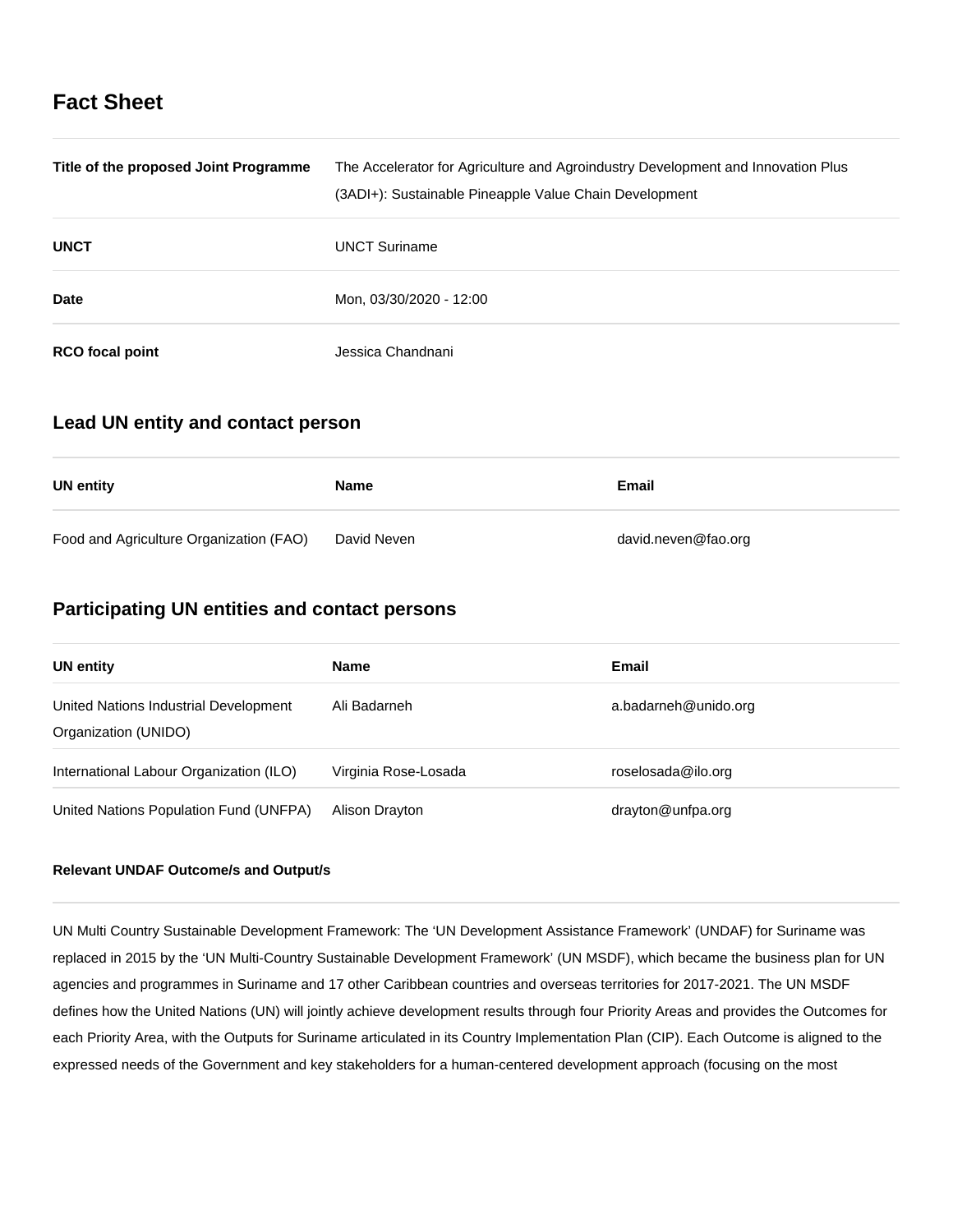# **Fact Sheet**

| Title of the proposed Joint Programme | The Accelerator for Agriculture and Agroindustry Development and Innovation Plus<br>(3ADI+): Sustainable Pineapple Value Chain Development |
|---------------------------------------|--------------------------------------------------------------------------------------------------------------------------------------------|
| <b>UNCT</b>                           | <b>UNCT Suriname</b>                                                                                                                       |
| <b>Date</b>                           | Mon, 03/30/2020 - 12:00                                                                                                                    |
| <b>RCO</b> focal point                | Jessica Chandnani.                                                                                                                         |

### **Lead UN entity and contact person**

| UN entity                               | <b>Name</b> | Email               |
|-----------------------------------------|-------------|---------------------|
| Food and Agriculture Organization (FAO) | David Neven | david.neven@fao.org |

## **Participating UN entities and contact persons**

| UN entity                                                     | <b>Name</b>          | Email                |
|---------------------------------------------------------------|----------------------|----------------------|
| United Nations Industrial Development<br>Organization (UNIDO) | Ali Badarneh         | a.badarneh@unido.org |
| International Labour Organization (ILO)                       | Virginia Rose-Losada | roselosada@ilo.org   |
| United Nations Population Fund (UNFPA)                        | Alison Drayton       | drayton@unfpa.org    |

### **Relevant UNDAF Outcome/s and Output/s**

UN Multi Country Sustainable Development Framework: The 'UN Development Assistance Framework' (UNDAF) for Suriname was replaced in 2015 by the 'UN Multi-Country Sustainable Development Framework' (UN MSDF), which became the business plan for UN agencies and programmes in Suriname and 17 other Caribbean countries and overseas territories for 2017-2021. The UN MSDF defines how the United Nations (UN) will jointly achieve development results through four Priority Areas and provides the Outcomes for each Priority Area, with the Outputs for Suriname articulated in its Country Implementation Plan (CIP). Each Outcome is aligned to the expressed needs of the Government and key stakeholders for a human-centered development approach (focusing on the most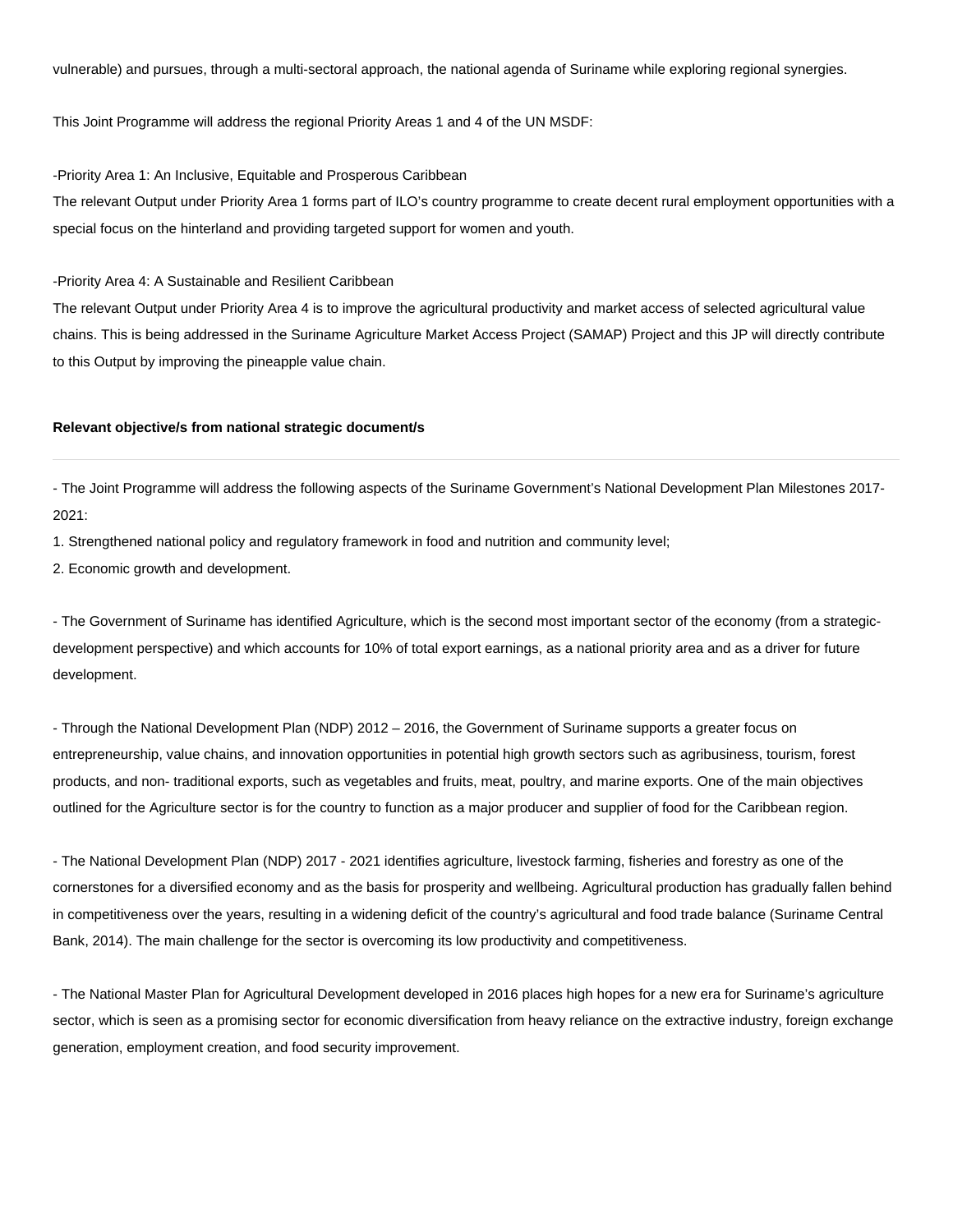vulnerable) and pursues, through a multi-sectoral approach, the national agenda of Suriname while exploring regional synergies.

This Joint Programme will address the regional Priority Areas 1 and 4 of the UN MSDF:

-Priority Area 1: An Inclusive, Equitable and Prosperous Caribbean

The relevant Output under Priority Area 1 forms part of ILO's country programme to create decent rural employment opportunities with a special focus on the hinterland and providing targeted support for women and youth.

-Priority Area 4: A Sustainable and Resilient Caribbean

The relevant Output under Priority Area 4 is to improve the agricultural productivity and market access of selected agricultural value chains. This is being addressed in the Suriname Agriculture Market Access Project (SAMAP) Project and this JP will directly contribute to this Output by improving the pineapple value chain.

#### **Relevant objective/s from national strategic document/s**

- The Joint Programme will address the following aspects of the Suriname Government's National Development Plan Milestones 2017- 2021:

1. Strengthened national policy and regulatory framework in food and nutrition and community level;

2. Economic growth and development.

- The Government of Suriname has identified Agriculture, which is the second most important sector of the economy (from a strategicdevelopment perspective) and which accounts for 10% of total export earnings, as a national priority area and as a driver for future development.

- Through the National Development Plan (NDP) 2012 – 2016, the Government of Suriname supports a greater focus on entrepreneurship, value chains, and innovation opportunities in potential high growth sectors such as agribusiness, tourism, forest products, and non- traditional exports, such as vegetables and fruits, meat, poultry, and marine exports. One of the main objectives outlined for the Agriculture sector is for the country to function as a major producer and supplier of food for the Caribbean region.

- The National Development Plan (NDP) 2017 - 2021 identifies agriculture, livestock farming, fisheries and forestry as one of the cornerstones for a diversified economy and as the basis for prosperity and wellbeing. Agricultural production has gradually fallen behind in competitiveness over the years, resulting in a widening deficit of the country's agricultural and food trade balance (Suriname Central Bank, 2014). The main challenge for the sector is overcoming its low productivity and competitiveness.

- The National Master Plan for Agricultural Development developed in 2016 places high hopes for a new era for Suriname's agriculture sector, which is seen as a promising sector for economic diversification from heavy reliance on the extractive industry, foreign exchange generation, employment creation, and food security improvement.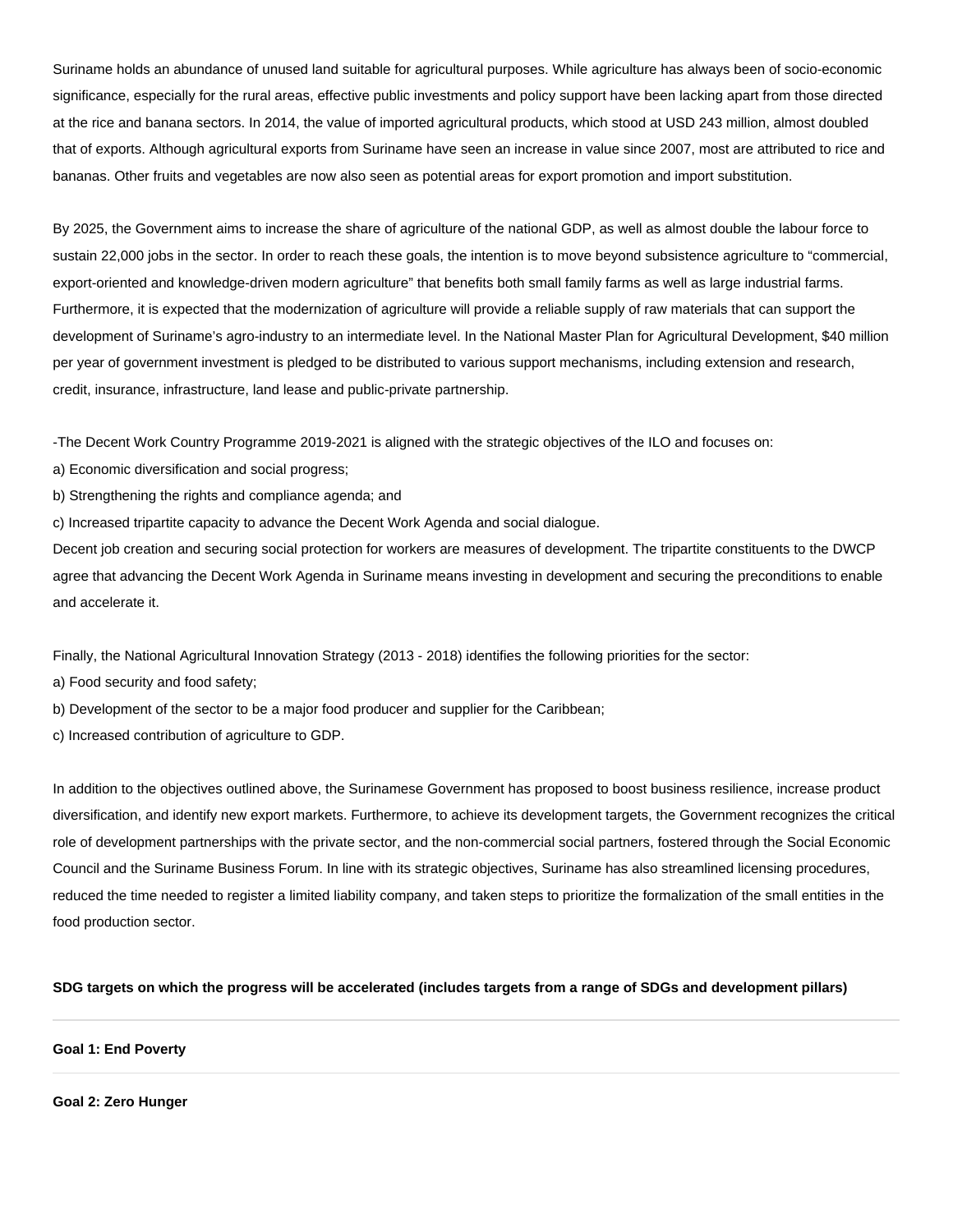Suriname holds an abundance of unused land suitable for agricultural purposes. While agriculture has always been of socio-economic significance, especially for the rural areas, effective public investments and policy support have been lacking apart from those directed at the rice and banana sectors. In 2014, the value of imported agricultural products, which stood at USD 243 million, almost doubled that of exports. Although agricultural exports from Suriname have seen an increase in value since 2007, most are attributed to rice and bananas. Other fruits and vegetables are now also seen as potential areas for export promotion and import substitution.

By 2025, the Government aims to increase the share of agriculture of the national GDP, as well as almost double the labour force to sustain 22,000 jobs in the sector. In order to reach these goals, the intention is to move beyond subsistence agriculture to "commercial, export-oriented and knowledge-driven modern agriculture" that benefits both small family farms as well as large industrial farms. Furthermore, it is expected that the modernization of agriculture will provide a reliable supply of raw materials that can support the development of Suriname's agro-industry to an intermediate level. In the National Master Plan for Agricultural Development, \$40 million per year of government investment is pledged to be distributed to various support mechanisms, including extension and research, credit, insurance, infrastructure, land lease and public-private partnership.

-The Decent Work Country Programme 2019-2021 is aligned with the strategic objectives of the ILO and focuses on:

- a) Economic diversification and social progress;
- b) Strengthening the rights and compliance agenda; and
- c) Increased tripartite capacity to advance the Decent Work Agenda and social dialogue.

Decent job creation and securing social protection for workers are measures of development. The tripartite constituents to the DWCP agree that advancing the Decent Work Agenda in Suriname means investing in development and securing the preconditions to enable and accelerate it.

Finally, the National Agricultural Innovation Strategy (2013 - 2018) identifies the following priorities for the sector:

- a) Food security and food safety;
- b) Development of the sector to be a major food producer and supplier for the Caribbean;
- c) Increased contribution of agriculture to GDP.

In addition to the objectives outlined above, the Surinamese Government has proposed to boost business resilience, increase product diversification, and identify new export markets. Furthermore, to achieve its development targets, the Government recognizes the critical role of development partnerships with the private sector, and the non-commercial social partners, fostered through the Social Economic Council and the Suriname Business Forum. In line with its strategic objectives, Suriname has also streamlined licensing procedures, reduced the time needed to register a limited liability company, and taken steps to prioritize the formalization of the small entities in the food production sector.

#### **SDG targets on which the progress will be accelerated (includes targets from a range of SDGs and development pillars)**

### **Goal 1: End Poverty**

#### **Goal 2: Zero Hunger**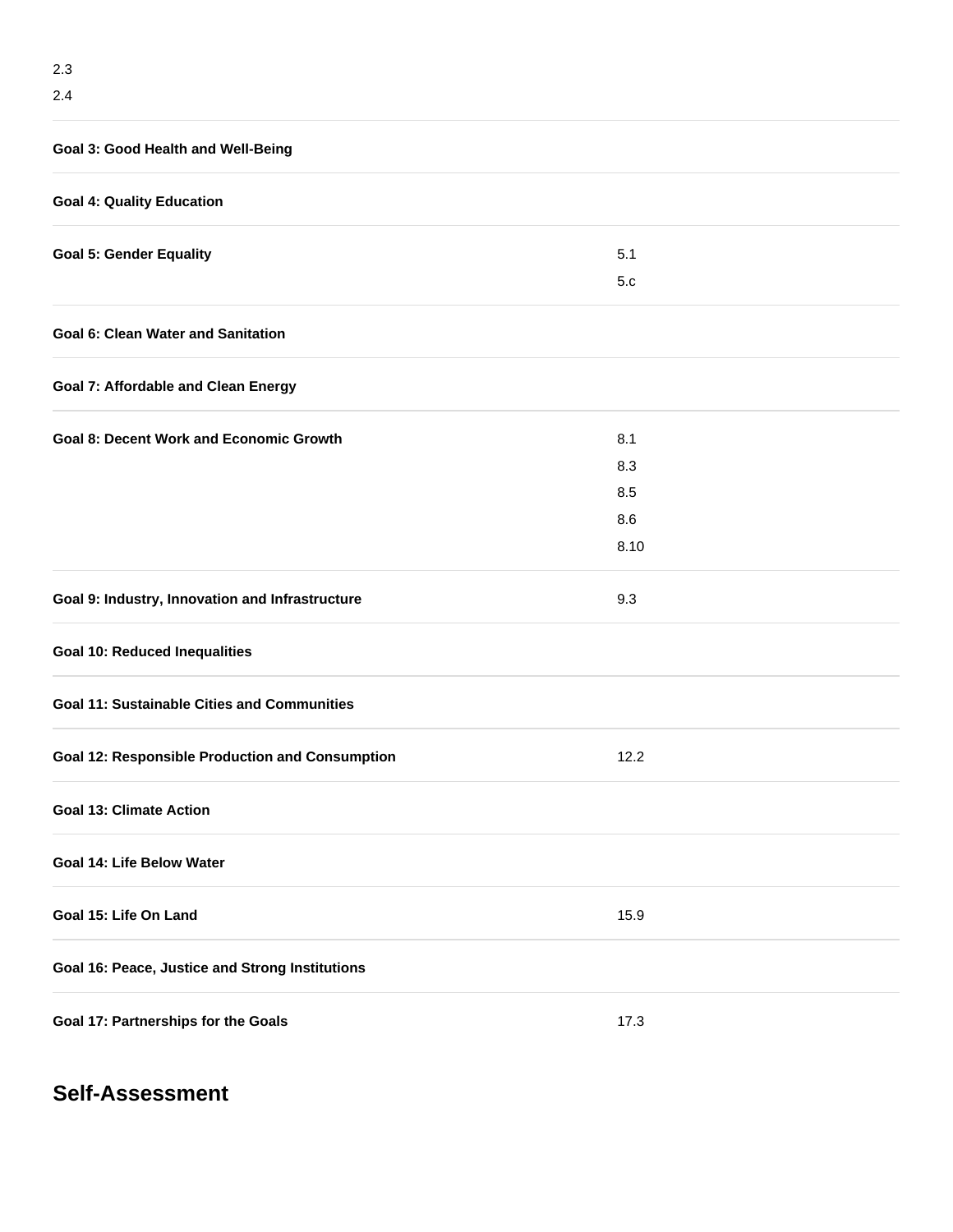| Goal 3: Good Health and Well-Being                     |      |
|--------------------------------------------------------|------|
| <b>Goal 4: Quality Education</b>                       |      |
| <b>Goal 5: Gender Equality</b>                         | 5.1  |
|                                                        | 5.c  |
| <b>Goal 6: Clean Water and Sanitation</b>              |      |
| <b>Goal 7: Affordable and Clean Energy</b>             |      |
| <b>Goal 8: Decent Work and Economic Growth</b>         | 8.1  |
|                                                        | 8.3  |
|                                                        | 8.5  |
|                                                        | 8.6  |
|                                                        | 8.10 |
| Goal 9: Industry, Innovation and Infrastructure        | 9.3  |
| <b>Goal 10: Reduced Inequalities</b>                   |      |
| <b>Goal 11: Sustainable Cities and Communities</b>     |      |
| <b>Goal 12: Responsible Production and Consumption</b> | 12.2 |
| <b>Goal 13: Climate Action</b>                         |      |
| Goal 14: Life Below Water                              |      |
| Goal 15: Life On Land                                  | 15.9 |
| Goal 16: Peace, Justice and Strong Institutions        |      |
| Goal 17: Partnerships for the Goals                    | 17.3 |

# **Self-Assessment**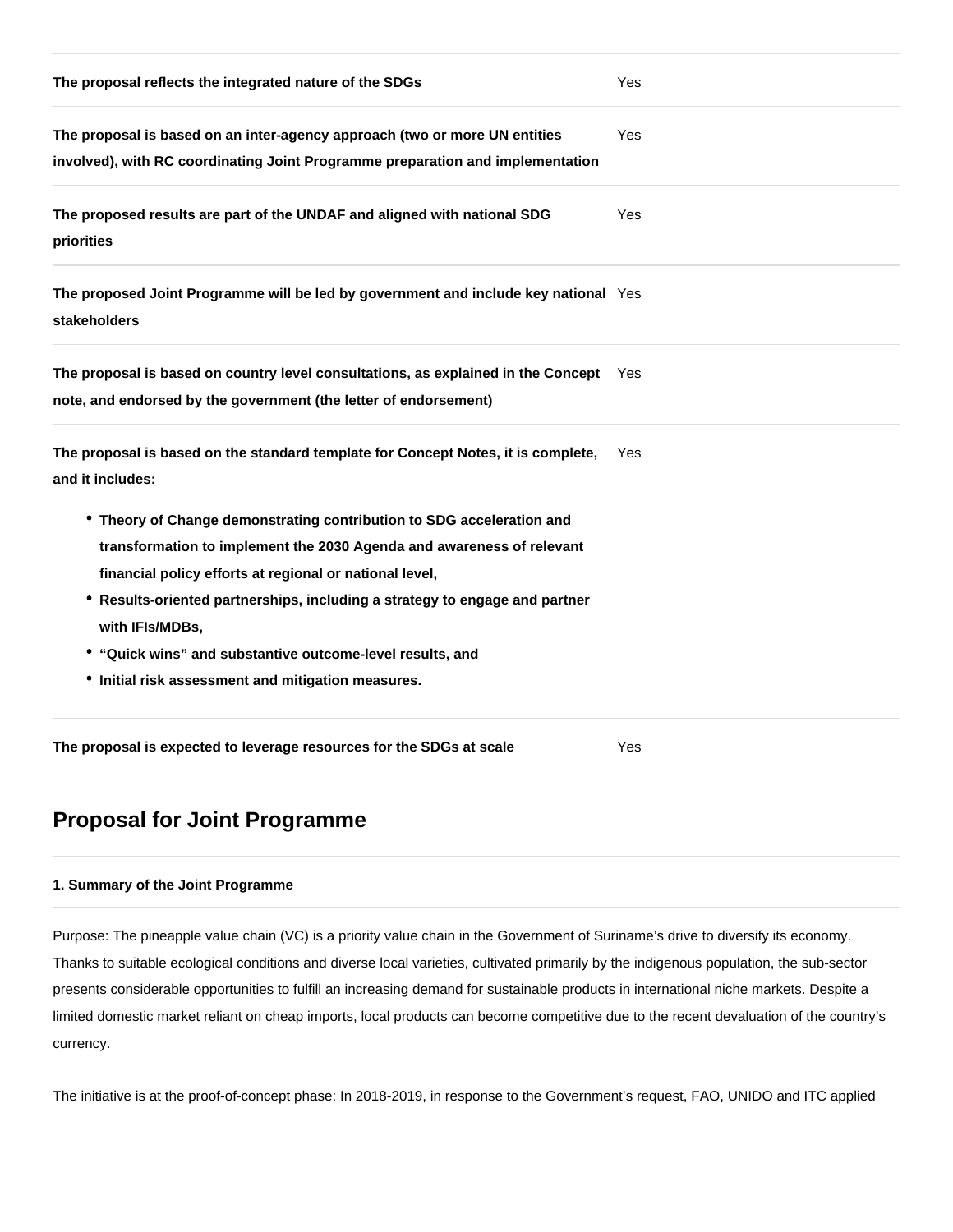| The proposal reflects the integrated nature of the SDGs                                                                                                                                                                                                                                                                                                                                                                        | Yes |
|--------------------------------------------------------------------------------------------------------------------------------------------------------------------------------------------------------------------------------------------------------------------------------------------------------------------------------------------------------------------------------------------------------------------------------|-----|
| The proposal is based on an inter-agency approach (two or more UN entities<br>involved), with RC coordinating Joint Programme preparation and implementation                                                                                                                                                                                                                                                                   | Yes |
| The proposed results are part of the UNDAF and aligned with national SDG<br>priorities                                                                                                                                                                                                                                                                                                                                         | Yes |
| The proposed Joint Programme will be led by government and include key national Yes<br>stakeholders                                                                                                                                                                                                                                                                                                                            |     |
| The proposal is based on country level consultations, as explained in the Concept Yes<br>note, and endorsed by the government (the letter of endorsement)                                                                                                                                                                                                                                                                      |     |
| The proposal is based on the standard template for Concept Notes, it is complete,<br>and it includes:                                                                                                                                                                                                                                                                                                                          | Yes |
| • Theory of Change demonstrating contribution to SDG acceleration and<br>transformation to implement the 2030 Agenda and awareness of relevant<br>financial policy efforts at regional or national level,<br>• Results-oriented partnerships, including a strategy to engage and partner<br>with IFIs/MDBs,<br>• "Quick wins" and substantive outcome-level results, and<br>• Initial risk assessment and mitigation measures. |     |
| The proposal is expected to leverage resources for the SDGs at scale                                                                                                                                                                                                                                                                                                                                                           | Yes |

# **Proposal for Joint Programme**

### **1. Summary of the Joint Programme**

Purpose: The pineapple value chain (VC) is a priority value chain in the Government of Suriname's drive to diversify its economy. Thanks to suitable ecological conditions and diverse local varieties, cultivated primarily by the indigenous population, the sub-sector presents considerable opportunities to fulfill an increasing demand for sustainable products in international niche markets. Despite a limited domestic market reliant on cheap imports, local products can become competitive due to the recent devaluation of the country's currency.

The initiative is at the proof-of-concept phase: In 2018-2019, in response to the Government's request, FAO, UNIDO and ITC applied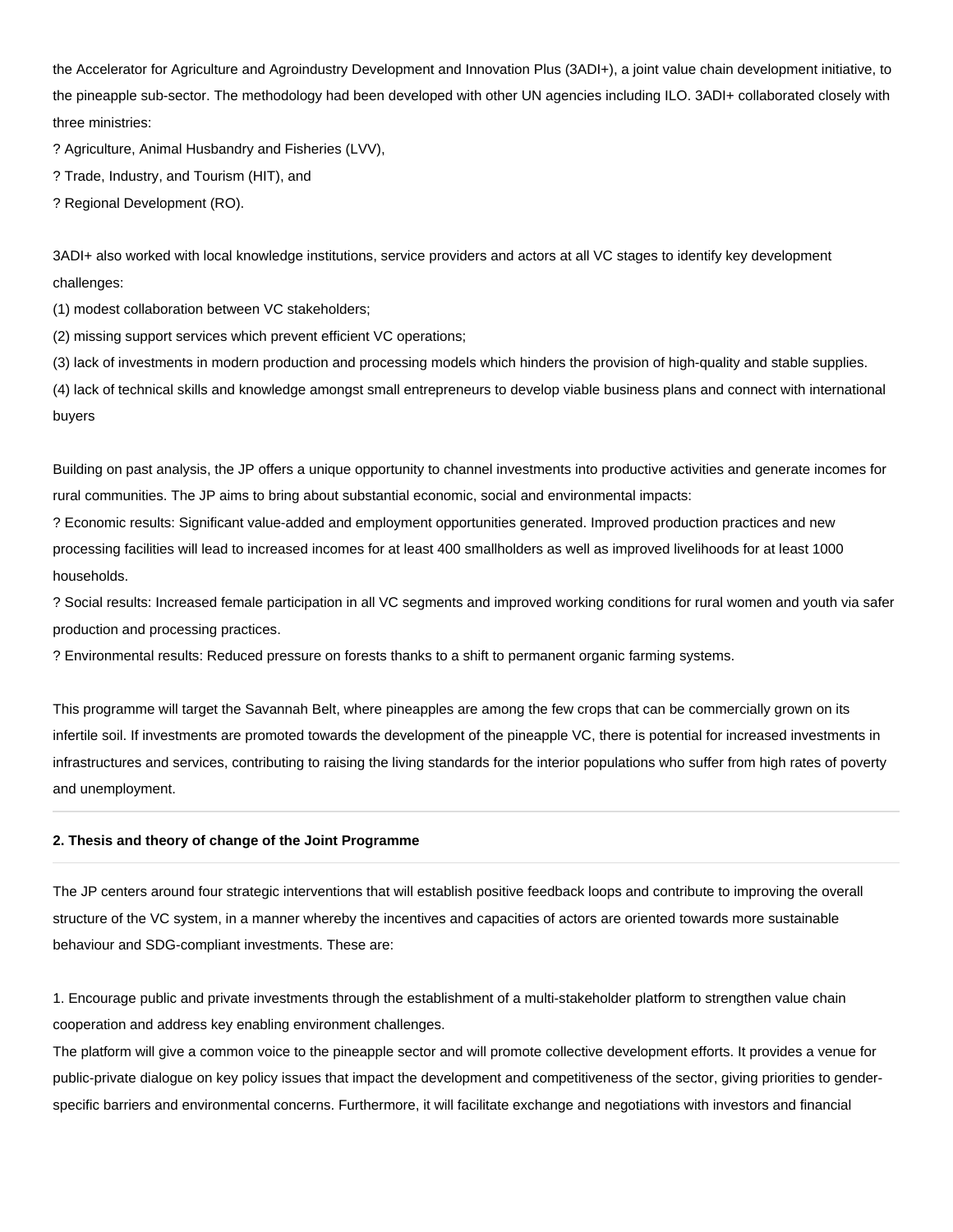the Accelerator for Agriculture and Agroindustry Development and Innovation Plus (3ADI+), a joint value chain development initiative, to the pineapple sub-sector. The methodology had been developed with other UN agencies including ILO. 3ADI+ collaborated closely with three ministries:

? Agriculture, Animal Husbandry and Fisheries (LVV),

? Trade, Industry, and Tourism (HIT), and

? Regional Development (RO).

3ADI+ also worked with local knowledge institutions, service providers and actors at all VC stages to identify key development challenges:

(1) modest collaboration between VC stakeholders;

(2) missing support services which prevent efficient VC operations;

(3) lack of investments in modern production and processing models which hinders the provision of high-quality and stable supplies.

(4) lack of technical skills and knowledge amongst small entrepreneurs to develop viable business plans and connect with international buyers

Building on past analysis, the JP offers a unique opportunity to channel investments into productive activities and generate incomes for rural communities. The JP aims to bring about substantial economic, social and environmental impacts:

? Economic results: Significant value-added and employment opportunities generated. Improved production practices and new processing facilities will lead to increased incomes for at least 400 smallholders as well as improved livelihoods for at least 1000 households.

? Social results: Increased female participation in all VC segments and improved working conditions for rural women and youth via safer production and processing practices.

? Environmental results: Reduced pressure on forests thanks to a shift to permanent organic farming systems.

This programme will target the Savannah Belt, where pineapples are among the few crops that can be commercially grown on its infertile soil. If investments are promoted towards the development of the pineapple VC, there is potential for increased investments in infrastructures and services, contributing to raising the living standards for the interior populations who suffer from high rates of poverty and unemployment.

#### **2. Thesis and theory of change of the Joint Programme**

The JP centers around four strategic interventions that will establish positive feedback loops and contribute to improving the overall structure of the VC system, in a manner whereby the incentives and capacities of actors are oriented towards more sustainable behaviour and SDG-compliant investments. These are:

1. Encourage public and private investments through the establishment of a multi-stakeholder platform to strengthen value chain cooperation and address key enabling environment challenges.

The platform will give a common voice to the pineapple sector and will promote collective development efforts. It provides a venue for public-private dialogue on key policy issues that impact the development and competitiveness of the sector, giving priorities to genderspecific barriers and environmental concerns. Furthermore, it will facilitate exchange and negotiations with investors and financial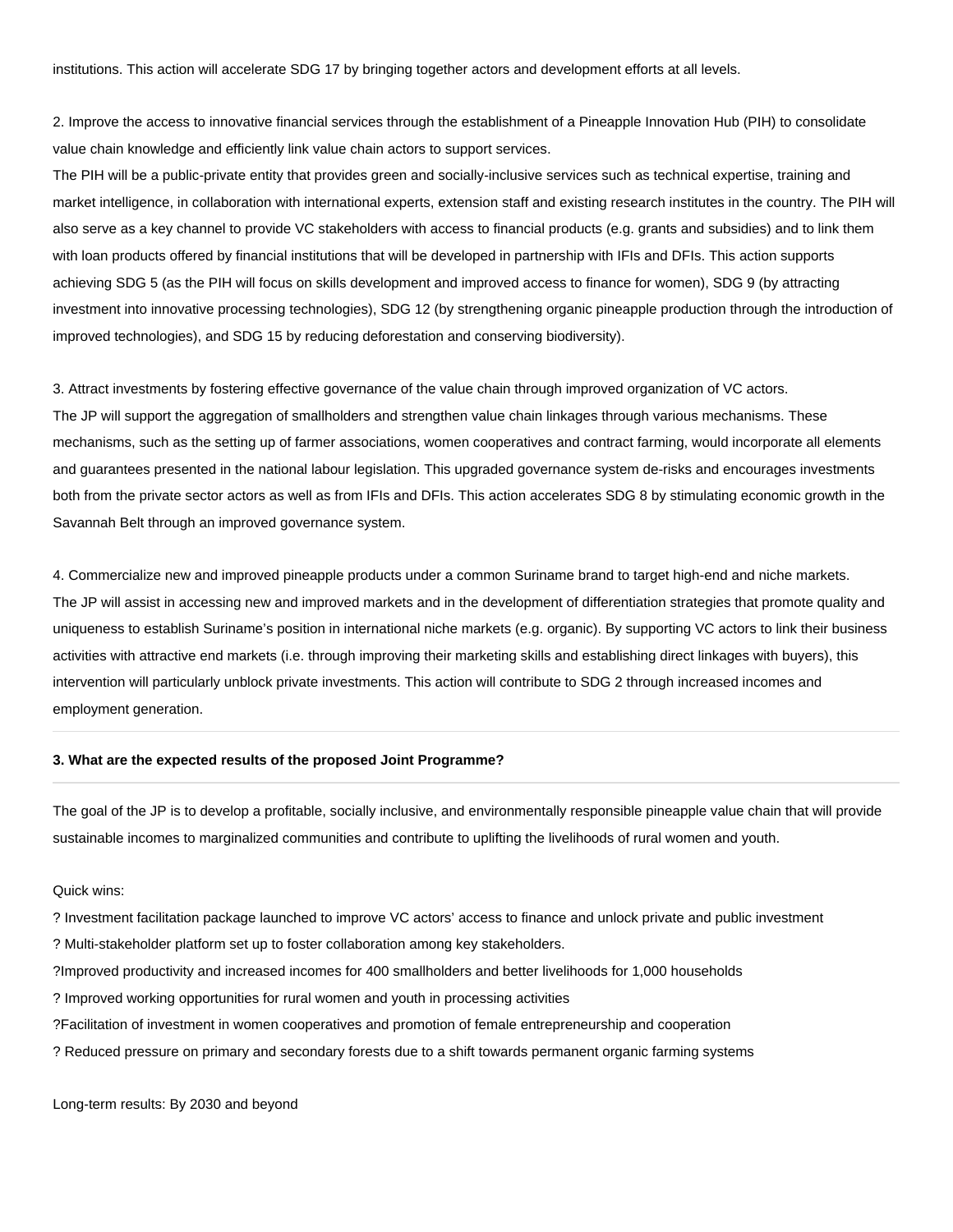2. Improve the access to innovative financial services through the establishment of a Pineapple Innovation Hub (PIH) to consolidate value chain knowledge and efficiently link value chain actors to support services.

The PIH will be a public-private entity that provides green and socially-inclusive services such as technical expertise, training and market intelligence, in collaboration with international experts, extension staff and existing research institutes in the country. The PIH will also serve as a key channel to provide VC stakeholders with access to financial products (e.g. grants and subsidies) and to link them with loan products offered by financial institutions that will be developed in partnership with IFIs and DFIs. This action supports achieving SDG 5 (as the PIH will focus on skills development and improved access to finance for women), SDG 9 (by attracting investment into innovative processing technologies), SDG 12 (by strengthening organic pineapple production through the introduction of improved technologies), and SDG 15 by reducing deforestation and conserving biodiversity).

3. Attract investments by fostering effective governance of the value chain through improved organization of VC actors. The JP will support the aggregation of smallholders and strengthen value chain linkages through various mechanisms. These mechanisms, such as the setting up of farmer associations, women cooperatives and contract farming, would incorporate all elements and guarantees presented in the national labour legislation. This upgraded governance system de-risks and encourages investments both from the private sector actors as well as from IFIs and DFIs. This action accelerates SDG 8 by stimulating economic growth in the Savannah Belt through an improved governance system.

4. Commercialize new and improved pineapple products under a common Suriname brand to target high-end and niche markets. The JP will assist in accessing new and improved markets and in the development of differentiation strategies that promote quality and uniqueness to establish Suriname's position in international niche markets (e.g. organic). By supporting VC actors to link their business activities with attractive end markets (i.e. through improving their marketing skills and establishing direct linkages with buyers), this intervention will particularly unblock private investments. This action will contribute to SDG 2 through increased incomes and employment generation.

### **3. What are the expected results of the proposed Joint Programme?**

The goal of the JP is to develop a profitable, socially inclusive, and environmentally responsible pineapple value chain that will provide sustainable incomes to marginalized communities and contribute to uplifting the livelihoods of rural women and youth.

#### Quick wins:

? Investment facilitation package launched to improve VC actors' access to finance and unlock private and public investment

? Multi-stakeholder platform set up to foster collaboration among key stakeholders.

- ?Improved productivity and increased incomes for 400 smallholders and better livelihoods for 1,000 households
- ? Improved working opportunities for rural women and youth in processing activities
- ?Facilitation of investment in women cooperatives and promotion of female entrepreneurship and cooperation
- ? Reduced pressure on primary and secondary forests due to a shift towards permanent organic farming systems

Long-term results: By 2030 and beyond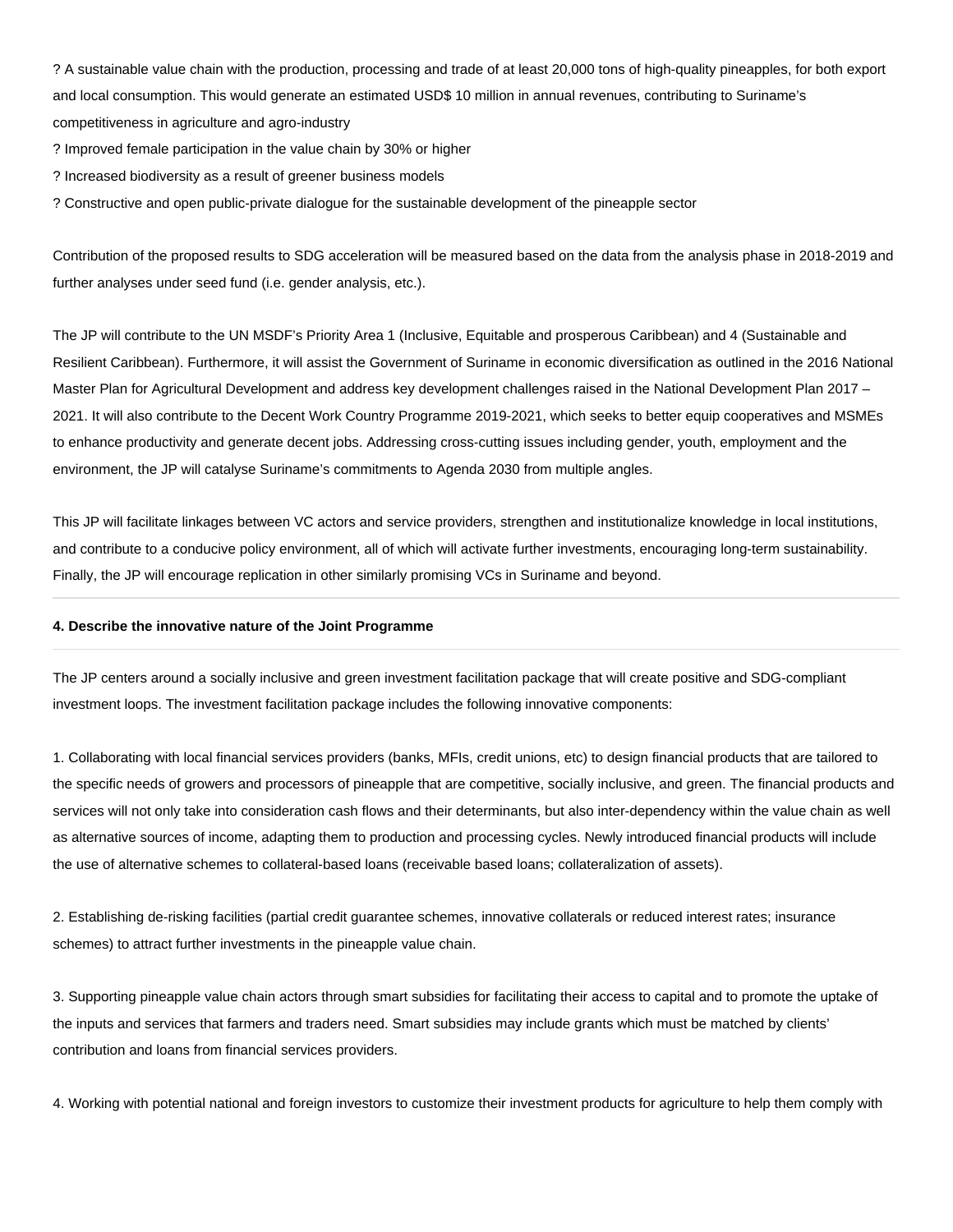? A sustainable value chain with the production, processing and trade of at least 20,000 tons of high-quality pineapples, for both export and local consumption. This would generate an estimated USD\$ 10 million in annual revenues, contributing to Suriname's competitiveness in agriculture and agro-industry

? Improved female participation in the value chain by 30% or higher

? Increased biodiversity as a result of greener business models

? Constructive and open public-private dialogue for the sustainable development of the pineapple sector

Contribution of the proposed results to SDG acceleration will be measured based on the data from the analysis phase in 2018-2019 and further analyses under seed fund (i.e. gender analysis, etc.).

The JP will contribute to the UN MSDF's Priority Area 1 (Inclusive, Equitable and prosperous Caribbean) and 4 (Sustainable and Resilient Caribbean). Furthermore, it will assist the Government of Suriname in economic diversification as outlined in the 2016 National Master Plan for Agricultural Development and address key development challenges raised in the National Development Plan 2017 – 2021. It will also contribute to the Decent Work Country Programme 2019-2021, which seeks to better equip cooperatives and MSMEs to enhance productivity and generate decent jobs. Addressing cross-cutting issues including gender, youth, employment and the environment, the JP will catalyse Suriname's commitments to Agenda 2030 from multiple angles.

This JP will facilitate linkages between VC actors and service providers, strengthen and institutionalize knowledge in local institutions, and contribute to a conducive policy environment, all of which will activate further investments, encouraging long-term sustainability. Finally, the JP will encourage replication in other similarly promising VCs in Suriname and beyond.

#### **4. Describe the innovative nature of the Joint Programme**

The JP centers around a socially inclusive and green investment facilitation package that will create positive and SDG-compliant investment loops. The investment facilitation package includes the following innovative components:

1. Collaborating with local financial services providers (banks, MFIs, credit unions, etc) to design financial products that are tailored to the specific needs of growers and processors of pineapple that are competitive, socially inclusive, and green. The financial products and services will not only take into consideration cash flows and their determinants, but also inter-dependency within the value chain as well as alternative sources of income, adapting them to production and processing cycles. Newly introduced financial products will include the use of alternative schemes to collateral-based loans (receivable based loans; collateralization of assets).

2. Establishing de-risking facilities (partial credit guarantee schemes, innovative collaterals or reduced interest rates; insurance schemes) to attract further investments in the pineapple value chain.

3. Supporting pineapple value chain actors through smart subsidies for facilitating their access to capital and to promote the uptake of the inputs and services that farmers and traders need. Smart subsidies may include grants which must be matched by clients' contribution and loans from financial services providers.

4. Working with potential national and foreign investors to customize their investment products for agriculture to help them comply with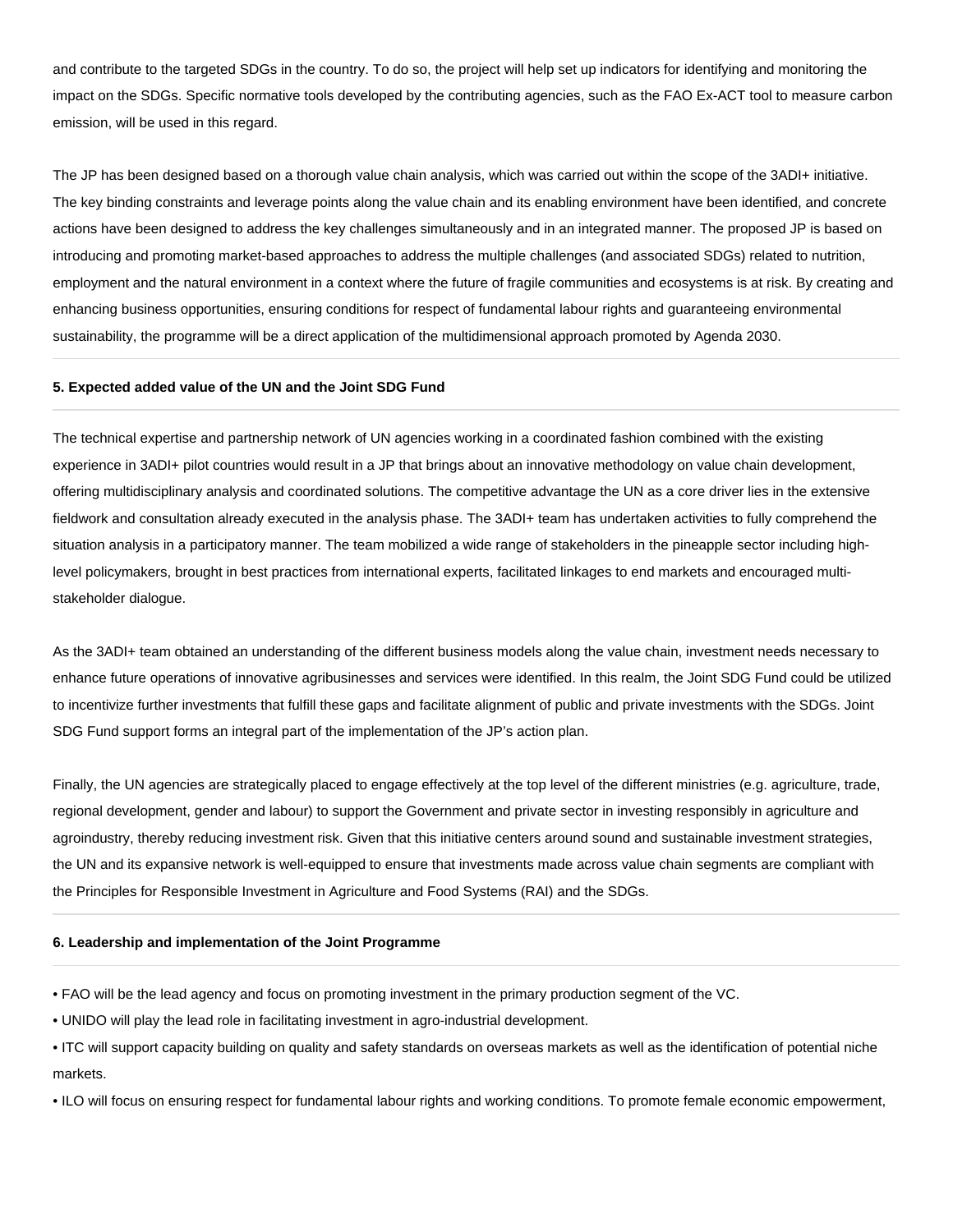and contribute to the targeted SDGs in the country. To do so, the project will help set up indicators for identifying and monitoring the impact on the SDGs. Specific normative tools developed by the contributing agencies, such as the FAO Ex-ACT tool to measure carbon emission, will be used in this regard.

The JP has been designed based on a thorough value chain analysis, which was carried out within the scope of the 3ADI+ initiative. The key binding constraints and leverage points along the value chain and its enabling environment have been identified, and concrete actions have been designed to address the key challenges simultaneously and in an integrated manner. The proposed JP is based on introducing and promoting market-based approaches to address the multiple challenges (and associated SDGs) related to nutrition, employment and the natural environment in a context where the future of fragile communities and ecosystems is at risk. By creating and enhancing business opportunities, ensuring conditions for respect of fundamental labour rights and guaranteeing environmental sustainability, the programme will be a direct application of the multidimensional approach promoted by Agenda 2030.

#### **5. Expected added value of the UN and the Joint SDG Fund**

The technical expertise and partnership network of UN agencies working in a coordinated fashion combined with the existing experience in 3ADI+ pilot countries would result in a JP that brings about an innovative methodology on value chain development, offering multidisciplinary analysis and coordinated solutions. The competitive advantage the UN as a core driver lies in the extensive fieldwork and consultation already executed in the analysis phase. The 3ADI+ team has undertaken activities to fully comprehend the situation analysis in a participatory manner. The team mobilized a wide range of stakeholders in the pineapple sector including highlevel policymakers, brought in best practices from international experts, facilitated linkages to end markets and encouraged multistakeholder dialogue.

As the 3ADI+ team obtained an understanding of the different business models along the value chain, investment needs necessary to enhance future operations of innovative agribusinesses and services were identified. In this realm, the Joint SDG Fund could be utilized to incentivize further investments that fulfill these gaps and facilitate alignment of public and private investments with the SDGs. Joint SDG Fund support forms an integral part of the implementation of the JP's action plan.

Finally, the UN agencies are strategically placed to engage effectively at the top level of the different ministries (e.g. agriculture, trade, regional development, gender and labour) to support the Government and private sector in investing responsibly in agriculture and agroindustry, thereby reducing investment risk. Given that this initiative centers around sound and sustainable investment strategies, the UN and its expansive network is well-equipped to ensure that investments made across value chain segments are compliant with the Principles for Responsible Investment in Agriculture and Food Systems (RAI) and the SDGs.

#### **6. Leadership and implementation of the Joint Programme**

• FAO will be the lead agency and focus on promoting investment in the primary production segment of the VC.

• UNIDO will play the lead role in facilitating investment in agro-industrial development.

• ITC will support capacity building on quality and safety standards on overseas markets as well as the identification of potential niche markets.

• ILO will focus on ensuring respect for fundamental labour rights and working conditions. To promote female economic empowerment,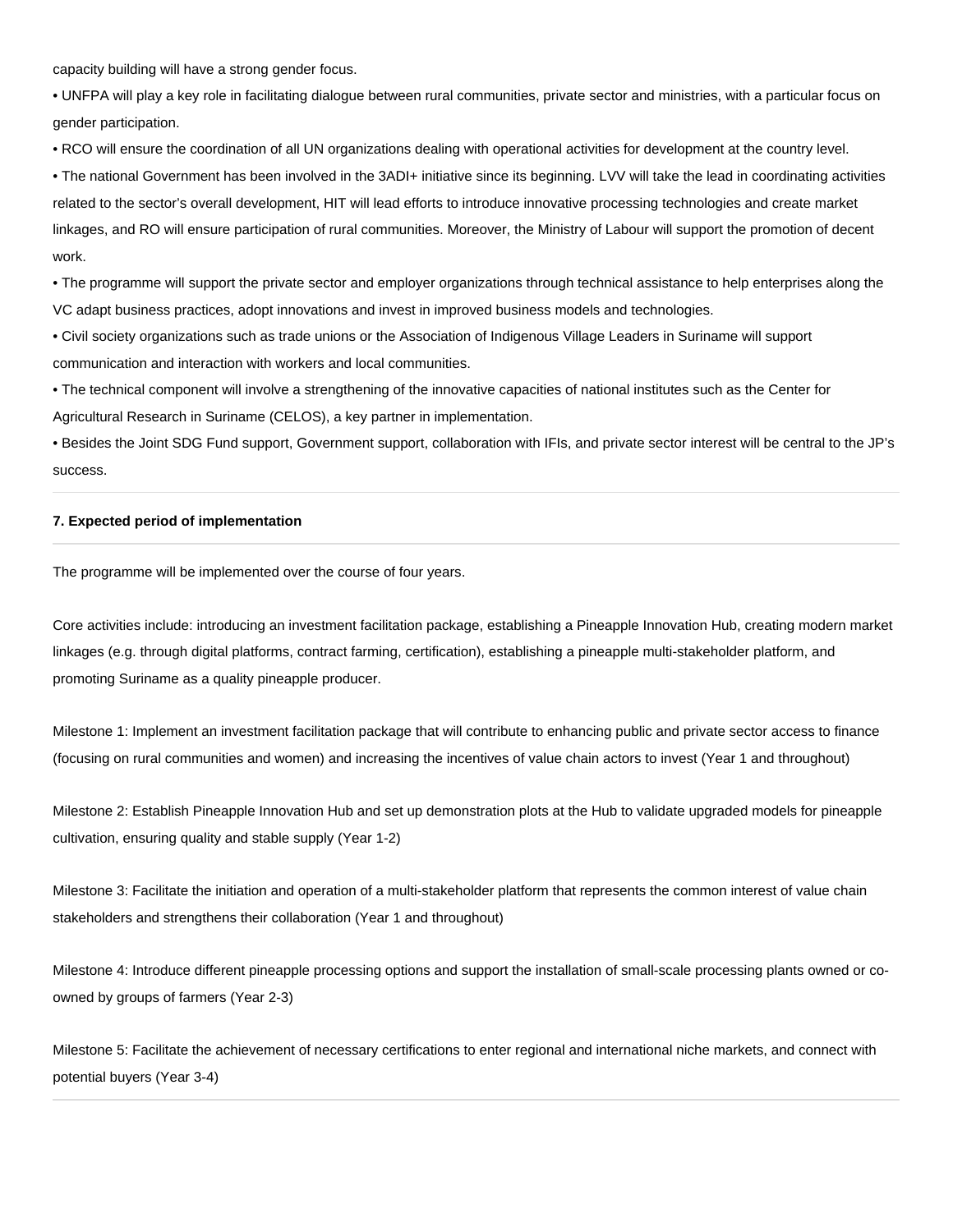capacity building will have a strong gender focus.

• UNFPA will play a key role in facilitating dialogue between rural communities, private sector and ministries, with a particular focus on gender participation.

• RCO will ensure the coordination of all UN organizations dealing with operational activities for development at the country level.

• The national Government has been involved in the 3ADI+ initiative since its beginning. LVV will take the lead in coordinating activities related to the sector's overall development, HIT will lead efforts to introduce innovative processing technologies and create market linkages, and RO will ensure participation of rural communities. Moreover, the Ministry of Labour will support the promotion of decent work.

• The programme will support the private sector and employer organizations through technical assistance to help enterprises along the VC adapt business practices, adopt innovations and invest in improved business models and technologies.

• Civil society organizations such as trade unions or the Association of Indigenous Village Leaders in Suriname will support communication and interaction with workers and local communities.

• The technical component will involve a strengthening of the innovative capacities of national institutes such as the Center for Agricultural Research in Suriname (CELOS), a key partner in implementation.

• Besides the Joint SDG Fund support, Government support, collaboration with IFIs, and private sector interest will be central to the JP's success.

#### **7. Expected period of implementation**

The programme will be implemented over the course of four years.

Core activities include: introducing an investment facilitation package, establishing a Pineapple Innovation Hub, creating modern market linkages (e.g. through digital platforms, contract farming, certification), establishing a pineapple multi-stakeholder platform, and promoting Suriname as a quality pineapple producer.

Milestone 1: Implement an investment facilitation package that will contribute to enhancing public and private sector access to finance (focusing on rural communities and women) and increasing the incentives of value chain actors to invest (Year 1 and throughout)

Milestone 2: Establish Pineapple Innovation Hub and set up demonstration plots at the Hub to validate upgraded models for pineapple cultivation, ensuring quality and stable supply (Year 1-2)

Milestone 3: Facilitate the initiation and operation of a multi-stakeholder platform that represents the common interest of value chain stakeholders and strengthens their collaboration (Year 1 and throughout)

Milestone 4: Introduce different pineapple processing options and support the installation of small-scale processing plants owned or coowned by groups of farmers (Year 2-3)

Milestone 5: Facilitate the achievement of necessary certifications to enter regional and international niche markets, and connect with potential buyers (Year 3-4)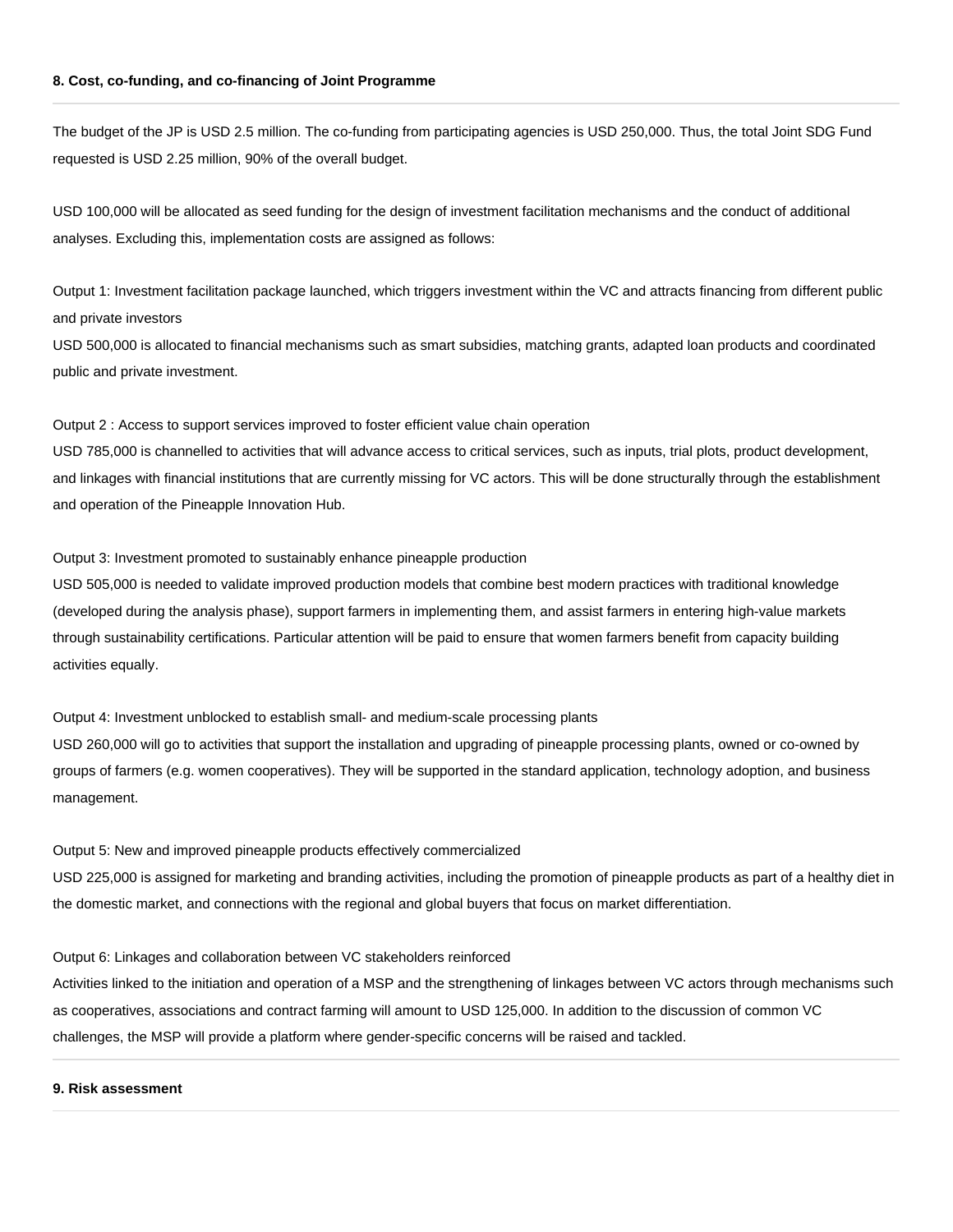#### **8. Cost, co-funding, and co-financing of Joint Programme**

The budget of the JP is USD 2.5 million. The co-funding from participating agencies is USD 250,000. Thus, the total Joint SDG Fund requested is USD 2.25 million, 90% of the overall budget.

USD 100,000 will be allocated as seed funding for the design of investment facilitation mechanisms and the conduct of additional analyses. Excluding this, implementation costs are assigned as follows:

Output 1: Investment facilitation package launched, which triggers investment within the VC and attracts financing from different public and private investors

USD 500,000 is allocated to financial mechanisms such as smart subsidies, matching grants, adapted loan products and coordinated public and private investment.

Output 2 : Access to support services improved to foster efficient value chain operation

USD 785,000 is channelled to activities that will advance access to critical services, such as inputs, trial plots, product development, and linkages with financial institutions that are currently missing for VC actors. This will be done structurally through the establishment and operation of the Pineapple Innovation Hub.

Output 3: Investment promoted to sustainably enhance pineapple production

USD 505,000 is needed to validate improved production models that combine best modern practices with traditional knowledge (developed during the analysis phase), support farmers in implementing them, and assist farmers in entering high-value markets through sustainability certifications. Particular attention will be paid to ensure that women farmers benefit from capacity building activities equally.

Output 4: Investment unblocked to establish small- and medium-scale processing plants

USD 260,000 will go to activities that support the installation and upgrading of pineapple processing plants, owned or co-owned by groups of farmers (e.g. women cooperatives). They will be supported in the standard application, technology adoption, and business management.

Output 5: New and improved pineapple products effectively commercialized

USD 225,000 is assigned for marketing and branding activities, including the promotion of pineapple products as part of a healthy diet in the domestic market, and connections with the regional and global buyers that focus on market differentiation.

Output 6: Linkages and collaboration between VC stakeholders reinforced

Activities linked to the initiation and operation of a MSP and the strengthening of linkages between VC actors through mechanisms such as cooperatives, associations and contract farming will amount to USD 125,000. In addition to the discussion of common VC challenges, the MSP will provide a platform where gender-specific concerns will be raised and tackled.

#### **9. Risk assessment**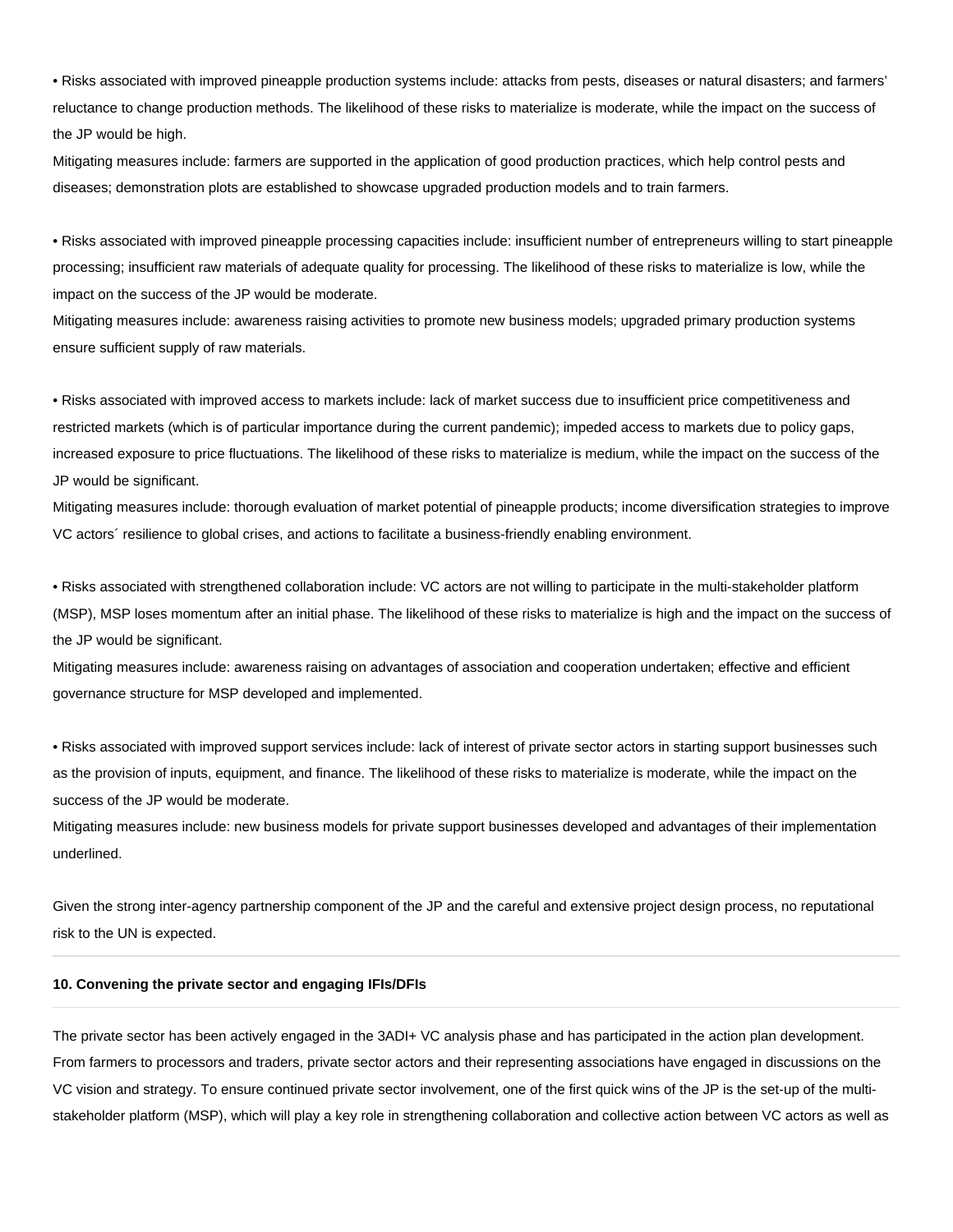• Risks associated with improved pineapple production systems include: attacks from pests, diseases or natural disasters; and farmers' reluctance to change production methods. The likelihood of these risks to materialize is moderate, while the impact on the success of the JP would be high.

Mitigating measures include: farmers are supported in the application of good production practices, which help control pests and diseases; demonstration plots are established to showcase upgraded production models and to train farmers.

• Risks associated with improved pineapple processing capacities include: insufficient number of entrepreneurs willing to start pineapple processing; insufficient raw materials of adequate quality for processing. The likelihood of these risks to materialize is low, while the impact on the success of the JP would be moderate.

Mitigating measures include: awareness raising activities to promote new business models; upgraded primary production systems ensure sufficient supply of raw materials.

• Risks associated with improved access to markets include: lack of market success due to insufficient price competitiveness and restricted markets (which is of particular importance during the current pandemic); impeded access to markets due to policy gaps, increased exposure to price fluctuations. The likelihood of these risks to materialize is medium, while the impact on the success of the JP would be significant.

Mitigating measures include: thorough evaluation of market potential of pineapple products; income diversification strategies to improve VC actors´ resilience to global crises, and actions to facilitate a business-friendly enabling environment.

• Risks associated with strengthened collaboration include: VC actors are not willing to participate in the multi-stakeholder platform (MSP), MSP loses momentum after an initial phase. The likelihood of these risks to materialize is high and the impact on the success of the JP would be significant.

Mitigating measures include: awareness raising on advantages of association and cooperation undertaken; effective and efficient governance structure for MSP developed and implemented.

• Risks associated with improved support services include: lack of interest of private sector actors in starting support businesses such as the provision of inputs, equipment, and finance. The likelihood of these risks to materialize is moderate, while the impact on the success of the JP would be moderate.

Mitigating measures include: new business models for private support businesses developed and advantages of their implementation underlined.

Given the strong inter-agency partnership component of the JP and the careful and extensive project design process, no reputational risk to the UN is expected.

#### **10. Convening the private sector and engaging IFIs/DFIs**

The private sector has been actively engaged in the 3ADI+ VC analysis phase and has participated in the action plan development. From farmers to processors and traders, private sector actors and their representing associations have engaged in discussions on the VC vision and strategy. To ensure continued private sector involvement, one of the first quick wins of the JP is the set-up of the multistakeholder platform (MSP), which will play a key role in strengthening collaboration and collective action between VC actors as well as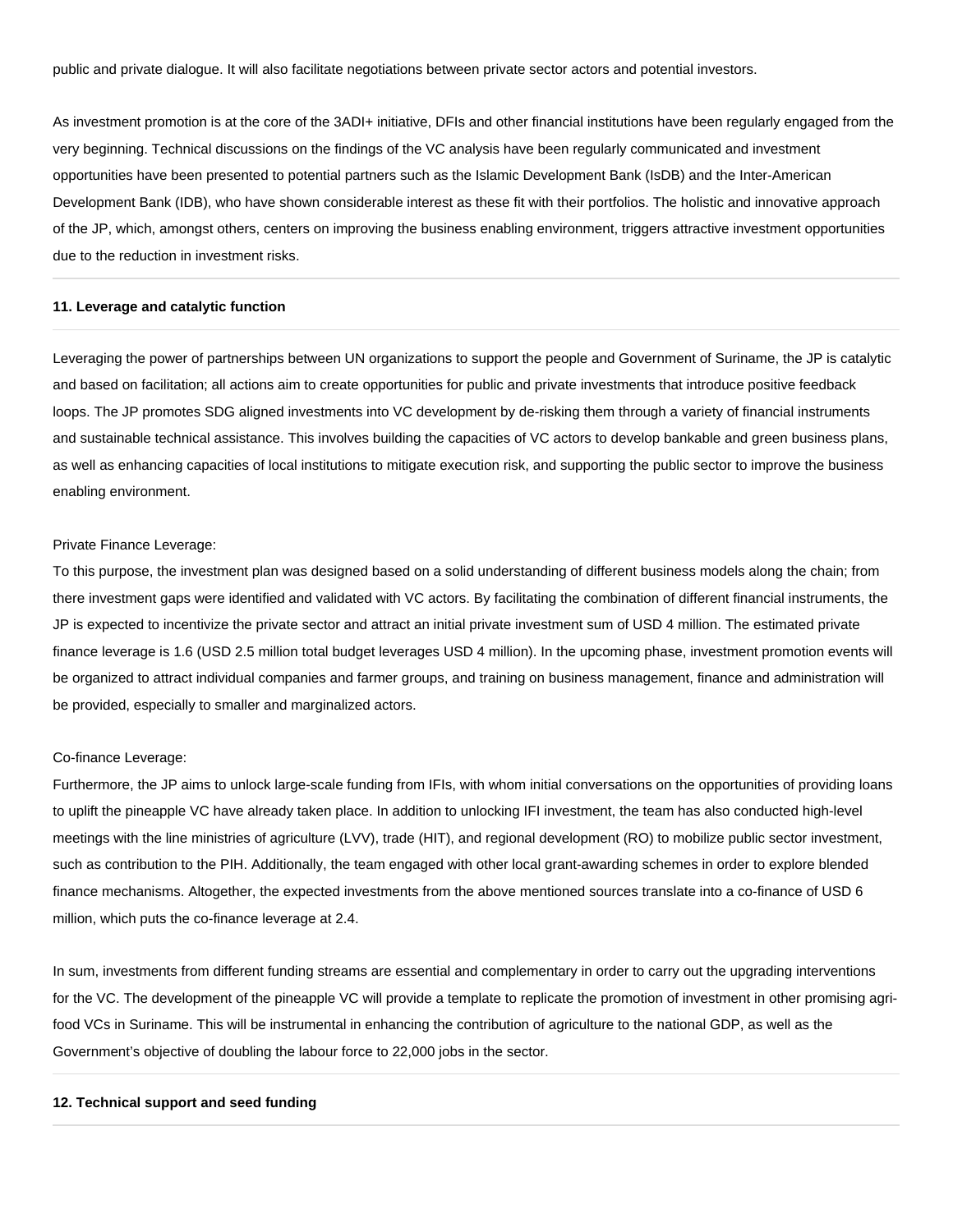public and private dialogue. It will also facilitate negotiations between private sector actors and potential investors.

As investment promotion is at the core of the 3ADI+ initiative, DFIs and other financial institutions have been regularly engaged from the very beginning. Technical discussions on the findings of the VC analysis have been regularly communicated and investment opportunities have been presented to potential partners such as the Islamic Development Bank (IsDB) and the Inter-American Development Bank (IDB), who have shown considerable interest as these fit with their portfolios. The holistic and innovative approach of the JP, which, amongst others, centers on improving the business enabling environment, triggers attractive investment opportunities due to the reduction in investment risks.

#### **11. Leverage and catalytic function**

Leveraging the power of partnerships between UN organizations to support the people and Government of Suriname, the JP is catalytic and based on facilitation; all actions aim to create opportunities for public and private investments that introduce positive feedback loops. The JP promotes SDG aligned investments into VC development by de-risking them through a variety of financial instruments and sustainable technical assistance. This involves building the capacities of VC actors to develop bankable and green business plans, as well as enhancing capacities of local institutions to mitigate execution risk, and supporting the public sector to improve the business enabling environment.

#### Private Finance Leverage:

To this purpose, the investment plan was designed based on a solid understanding of different business models along the chain; from there investment gaps were identified and validated with VC actors. By facilitating the combination of different financial instruments, the JP is expected to incentivize the private sector and attract an initial private investment sum of USD 4 million. The estimated private finance leverage is 1.6 (USD 2.5 million total budget leverages USD 4 million). In the upcoming phase, investment promotion events will be organized to attract individual companies and farmer groups, and training on business management, finance and administration will be provided, especially to smaller and marginalized actors.

#### Co-finance Leverage:

Furthermore, the JP aims to unlock large-scale funding from IFIs, with whom initial conversations on the opportunities of providing loans to uplift the pineapple VC have already taken place. In addition to unlocking IFI investment, the team has also conducted high-level meetings with the line ministries of agriculture (LVV), trade (HIT), and regional development (RO) to mobilize public sector investment, such as contribution to the PIH. Additionally, the team engaged with other local grant-awarding schemes in order to explore blended finance mechanisms. Altogether, the expected investments from the above mentioned sources translate into a co-finance of USD 6 million, which puts the co-finance leverage at 2.4.

In sum, investments from different funding streams are essential and complementary in order to carry out the upgrading interventions for the VC. The development of the pineapple VC will provide a template to replicate the promotion of investment in other promising agrifood VCs in Suriname. This will be instrumental in enhancing the contribution of agriculture to the national GDP, as well as the Government's objective of doubling the labour force to 22,000 jobs in the sector.

#### **12. Technical support and seed funding**